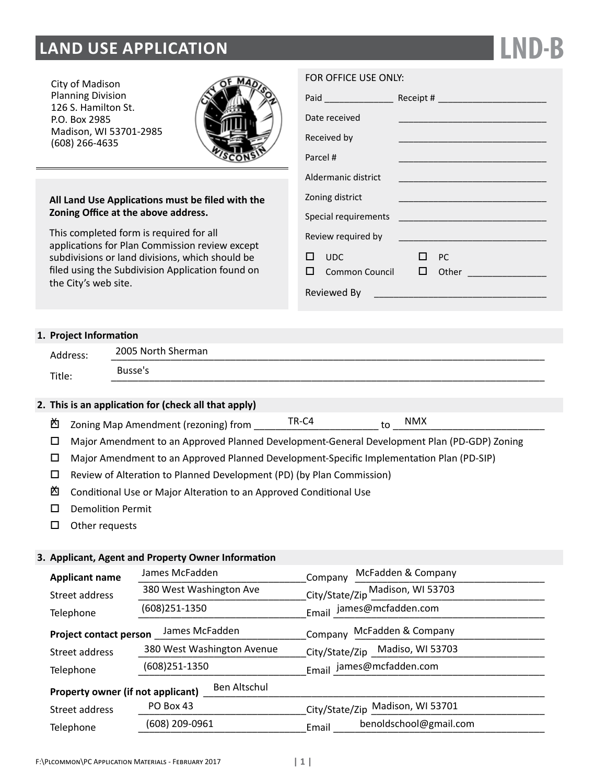# **LAND USE APPLICATION**

City of Madison Planning Division 126 S. Hamilton St. P.O. Box 2985 Madison, WI 53701-2985 (608) 266-4635



# **All Land Use Applications must be filed with the Zoning Office at the above address.**

This completed form is required for all applications for Plan Commission review except subdivisions or land divisions, which should be filed using the Subdivision Application found on the City's web site.

## FOR OFFICE USE ONLY:

|                      | Paid _________________ |              |    |                                                    |
|----------------------|------------------------|--------------|----|----------------------------------------------------|
|                      | Date received          |              |    |                                                    |
|                      | Received by            |              |    |                                                    |
| Parcel #             |                        |              |    |                                                    |
|                      | Aldermanic district    |              |    |                                                    |
| Zoning district      |                        |              |    |                                                    |
| Special requirements |                        |              |    | <u> 1990 - Johann Barn, mars eta biztanleria (</u> |
|                      | Review required by     |              |    |                                                    |
|                      | <b>UDC</b>             | . .          | PC |                                                    |
|                      | Common Council         | $\mathsf{L}$ |    |                                                    |
|                      | Reviewed By            |              |    |                                                    |

**LND-B**

# **1. Project Information**

| Address: | 2005 North Sherman |
|----------|--------------------|
| Title:   | Busse's            |
|          |                    |

# **2. This is an application for (check all that apply)**

- Zoning Map Amendment (rezoning) from \_\_\_\_\_\_\_\_\_\_\_\_\_\_\_\_\_\_\_\_\_\_\_ to \_\_\_\_\_\_\_\_\_\_\_\_\_\_\_\_\_\_\_\_\_\_\_\_\_\_\_\_ X TR-C4 to NMX
- Major Amendment to an Approved Planned Development-General Development Plan (PD-GDP) Zoning
- Major Amendment to an Approved Planned Development-Specific Implementation Plan (PD-SIP)
- $\square$  Review of Alteration to Planned Development (PD) (by Plan Commission)
- Conditional Use or Major Alteration to an Approved Conditional Use X
- D Demolition Permit
- $\square$  Other requests

## **3. Applicant, Agent and Property Owner Information**

| <b>Applicant name</b>                             | James McFadden             | McFadden & Company<br>Company    |  |  |
|---------------------------------------------------|----------------------------|----------------------------------|--|--|
| Street address                                    | 380 West Washington Ave    | City/State/Zip Madison, WI 53703 |  |  |
| (608) 251-1350<br>Telephone                       |                            | Email james@mcfadden.com         |  |  |
| <b>Project contact person</b>                     | James McFadden             | Company McFadden & Company       |  |  |
| Street address                                    | 380 West Washington Avenue | City/State/Zip Madiso, WI 53703  |  |  |
| Telephone                                         | (608)251-1350              | Email james@mcfadden.com         |  |  |
| Ben Altschul<br>Property owner (if not applicant) |                            |                                  |  |  |
| Street address                                    | PO Box 43                  | City/State/Zip Madison, WI 53701 |  |  |
| Telephone                                         | (608) 209-0961             | benoldschool@gmail.com<br>Email  |  |  |